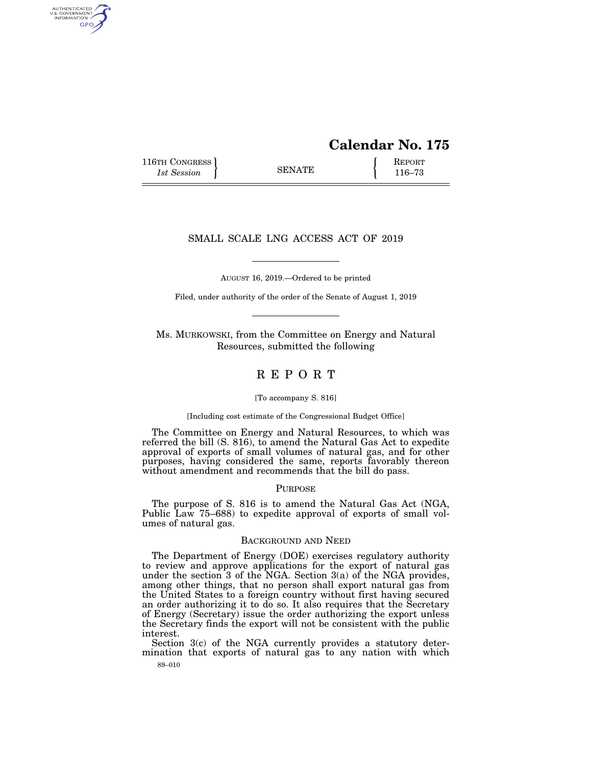# **Calendar No. 175**

116TH CONGRESS **REPORT** 116-73

AUTHENTICATED<br>U.S. GOVERNMENT<br>INFORMATION GPO

## SMALL SCALE LNG ACCESS ACT OF 2019

AUGUST 16, 2019.—Ordered to be printed

Filed, under authority of the order of the Senate of August 1, 2019

Ms. MURKOWSKI, from the Committee on Energy and Natural Resources, submitted the following

# R E P O R T

#### [To accompany S. 816]

[Including cost estimate of the Congressional Budget Office]

The Committee on Energy and Natural Resources, to which was referred the bill (S. 816), to amend the Natural Gas Act to expedite approval of exports of small volumes of natural gas, and for other purposes, having considered the same, reports favorably thereon without amendment and recommends that the bill do pass.

#### PURPOSE

The purpose of S. 816 is to amend the Natural Gas Act (NGA, Public Law 75–688) to expedite approval of exports of small volumes of natural gas.

#### BACKGROUND AND NEED

The Department of Energy (DOE) exercises regulatory authority to review and approve applications for the export of natural gas under the section 3 of the NGA. Section 3(a) of the NGA provides, among other things, that no person shall export natural gas from the United States to a foreign country without first having secured an order authorizing it to do so. It also requires that the Secretary of Energy (Secretary) issue the order authorizing the export unless the Secretary finds the export will not be consistent with the public interest.

89–010 Section 3(c) of the NGA currently provides a statutory determination that exports of natural gas to any nation with which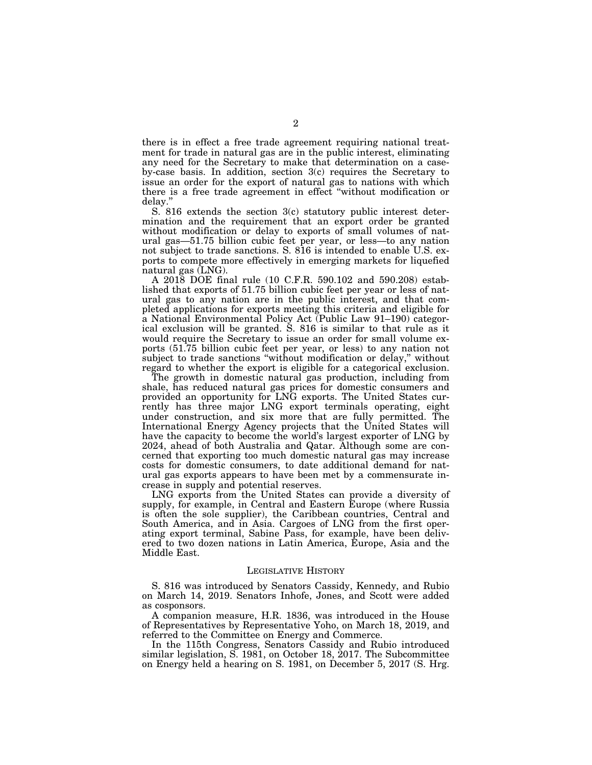there is in effect a free trade agreement requiring national treatment for trade in natural gas are in the public interest, eliminating any need for the Secretary to make that determination on a caseby-case basis. In addition, section 3(c) requires the Secretary to issue an order for the export of natural gas to nations with which there is a free trade agreement in effect ''without modification or delay.''

S. 816 extends the section 3(c) statutory public interest determination and the requirement that an export order be granted without modification or delay to exports of small volumes of natural gas—51.75 billion cubic feet per year, or less—to any nation not subject to trade sanctions. S. 816 is intended to enable U.S. exports to compete more effectively in emerging markets for liquefied natural gas (LNG).

A 2018 DOE final rule (10 C.F.R. 590.102 and 590.208) established that exports of 51.75 billion cubic feet per year or less of natural gas to any nation are in the public interest, and that completed applications for exports meeting this criteria and eligible for a National Environmental Policy Act (Public Law 91–190) categorical exclusion will be granted. S. 816 is similar to that rule as it would require the Secretary to issue an order for small volume exports (51.75 billion cubic feet per year, or less) to any nation not subject to trade sanctions ''without modification or delay,'' without regard to whether the export is eligible for a categorical exclusion.

The growth in domestic natural gas production, including from shale, has reduced natural gas prices for domestic consumers and provided an opportunity for LNG exports. The United States currently has three major LNG export terminals operating, eight under construction, and six more that are fully permitted. The International Energy Agency projects that the United States will have the capacity to become the world's largest exporter of LNG by 2024, ahead of both Australia and Qatar. Although some are concerned that exporting too much domestic natural gas may increase costs for domestic consumers, to date additional demand for natural gas exports appears to have been met by a commensurate increase in supply and potential reserves.

LNG exports from the United States can provide a diversity of supply, for example, in Central and Eastern Europe (where Russia is often the sole supplier), the Caribbean countries, Central and South America, and in Asia. Cargoes of LNG from the first operating export terminal, Sabine Pass, for example, have been delivered to two dozen nations in Latin America, Europe, Asia and the Middle East.

#### LEGISLATIVE HISTORY

S. 816 was introduced by Senators Cassidy, Kennedy, and Rubio on March 14, 2019. Senators Inhofe, Jones, and Scott were added as cosponsors.

A companion measure, H.R. 1836, was introduced in the House of Representatives by Representative Yoho, on March 18, 2019, and referred to the Committee on Energy and Commerce.

In the 115th Congress, Senators Cassidy and Rubio introduced similar legislation, S. 1981, on October 18, 2017. The Subcommittee on Energy held a hearing on S. 1981, on December 5, 2017 (S. Hrg.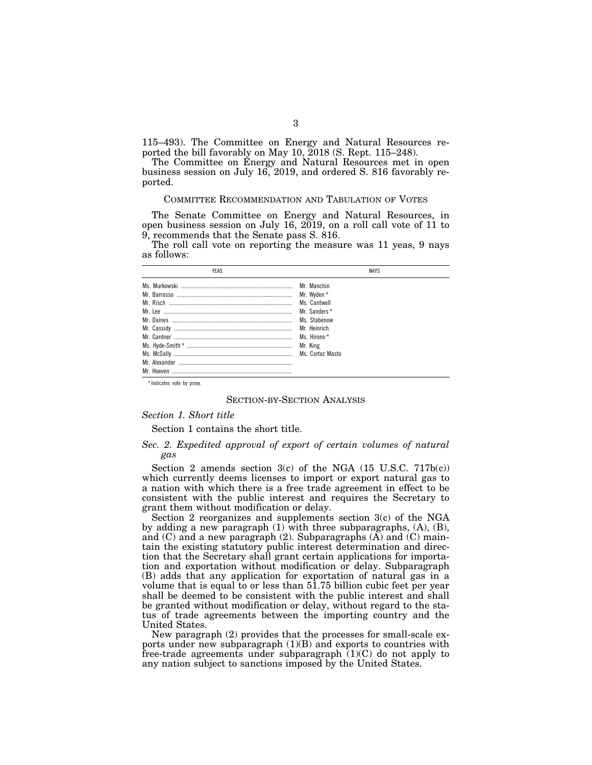115–493). The Committee on Energy and Natural Resources reported the bill favorably on May 10, 2018 (S. Rept. 115–248).

The Committee on Energy and Natural Resources met in open business session on July 16, 2019, and ordered S. 816 favorably reported.

#### COMMITTEE RECOMMENDATION AND TABULATION OF VOTES

The Senate Committee on Energy and Natural Resources, in open business session on July 16,  $2019$ , on a roll call vote of 11 to 9, recommends that the Senate pass S. 816.

The roll call vote on reporting the measure was 11 yeas, 9 nays as follows:

| <b>YFAS</b> | <b>NAYS</b>      |  |
|-------------|------------------|--|
|             | Mr. Manchin      |  |
|             | Mr. Wyden *      |  |
|             | Ms Cantwell      |  |
|             | Mr. Sanders *    |  |
|             | Ms. Stabenow     |  |
|             | Mr. Heinrich     |  |
|             | Ms Hirono*       |  |
|             | Mr. King         |  |
|             | Ms. Cortez Masto |  |
|             |                  |  |
|             |                  |  |

\* Indicates vote by proxy.

#### SECTION-BY-SECTION ANALYSIS

#### *Section 1. Short title*

Section 1 contains the short title.

### *Sec. 2. Expedited approval of export of certain volumes of natural gas*

Section 2 amends section  $3(c)$  of the NGA  $(15 \text{ U.S.C. } 717b(c))$ which currently deems licenses to import or export natural gas to a nation with which there is a free trade agreement in effect to be consistent with the public interest and requires the Secretary to grant them without modification or delay.

Section 2 reorganizes and supplements section 3(c) of the NGA by adding a new paragraph (1) with three subparagraphs, (A), (B), and  $(C)$  and a new paragraph  $(2)$ . Subparagraphs  $(A)$  and  $(C)$  maintain the existing statutory public interest determination and direction that the Secretary shall grant certain applications for importation and exportation without modification or delay. Subparagraph (B) adds that any application for exportation of natural gas in a volume that is equal to or less than 51.75 billion cubic feet per year shall be deemed to be consistent with the public interest and shall be granted without modification or delay, without regard to the status of trade agreements between the importing country and the United States.

New paragraph (2) provides that the processes for small-scale exports under new subparagraph  $(1)(B)$  and exports to countries with free-trade agreements under subparagraph  $(1)(C)$  do not apply to any nation subject to sanctions imposed by the United States.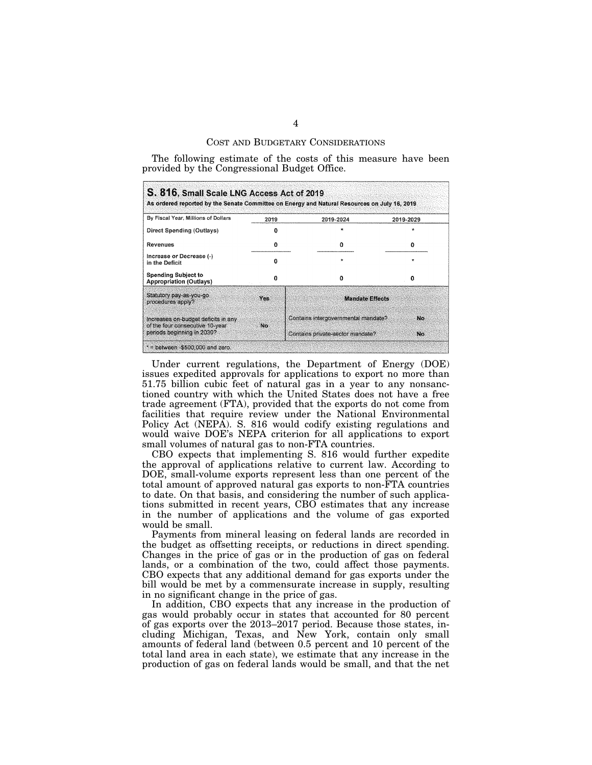#### COST AND BUDGETARY CONSIDERATIONS

The following estimate of the costs of this measure have been provided by the Congressional Budget Office.

| By Fiscal Year, Millions of Dollars                                    | 2019 | 2019-2024                           | 2019-2029 |
|------------------------------------------------------------------------|------|-------------------------------------|-----------|
| Direct Spending (Outlays)                                              | o    |                                     | $\star$   |
| Revenues                                                               | o    | o                                   | o         |
| Increase or Decrease (-)<br>in the Deficit                             | n    | ÷                                   | $\star$   |
| <b>Spending Subject to</b><br><b>Appropriation (Outlays)</b>           | o    | o                                   | Ω         |
| Statutory pay-as-you-go.<br>procedures apply?                          | Yes  | <b>Mandate Effects</b>              |           |
| Increases on-budget deficits in any<br>of the four consecutive 10-year | No.  | Contains intergovernmental mandate? | No        |
| periods beginning in 2030?                                             |      | Contains private-sector mandate?    | No        |

Under current regulations, the Department of Energy (DOE) issues expedited approvals for applications to export no more than 51.75 billion cubic feet of natural gas in a year to any nonsanctioned country with which the United States does not have a free trade agreement (FTA), provided that the exports do not come from facilities that require review under the National Environmental Policy Act (NEPA). S. 816 would codify existing regulations and would waive DOE's NEPA criterion for all applications to export small volumes of natural gas to non-FTA countries.

CBO expects that implementing S. 816 would further expedite the approval of applications relative to current law. According to DOE, small-volume exports represent less than one percent of the total amount of approved natural gas exports to non-FTA countries to date. On that basis, and considering the number of such applications submitted in recent years, CBO estimates that any increase in the number of applications and the volume of gas exported would be small.

Payments from mineral leasing on federal lands are recorded in the budget as offsetting receipts, or reductions in direct spending. Changes in the price of gas or in the production of gas on federal lands, or a combination of the two, could affect those payments. CBO expects that any additional demand for gas exports under the bill would be met by a commensurate increase in supply, resulting in no significant change in the price of gas.

In addition, CBO expects that any increase in the production of gas would probably occur in states that accounted for 80 percent of gas exports over the 2013–2017 period. Because those states, including Michigan, Texas, and New York, contain only small amounts of federal land (between 0.5 percent and 10 percent of the total land area in each state), we estimate that any increase in the production of gas on federal lands would be small, and that the net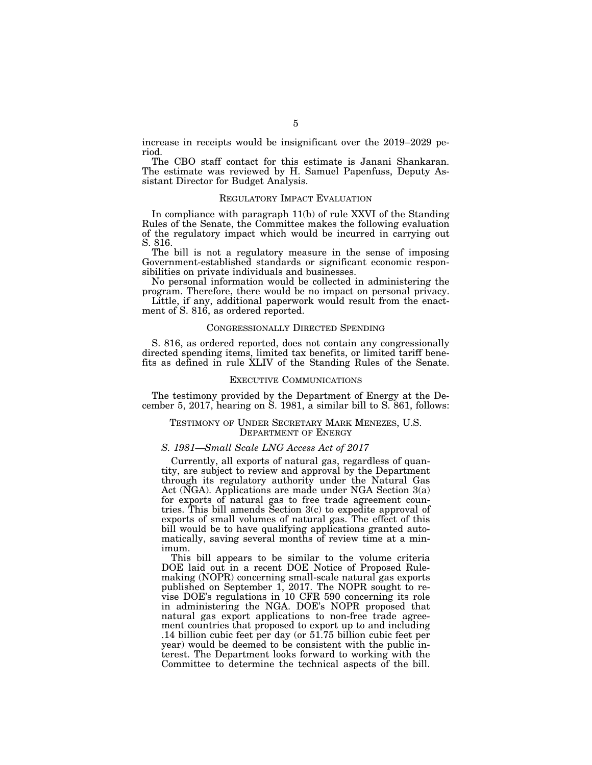increase in receipts would be insignificant over the 2019–2029 period.

The CBO staff contact for this estimate is Janani Shankaran. The estimate was reviewed by H. Samuel Papenfuss, Deputy Assistant Director for Budget Analysis.

#### REGULATORY IMPACT EVALUATION

In compliance with paragraph 11(b) of rule XXVI of the Standing Rules of the Senate, the Committee makes the following evaluation of the regulatory impact which would be incurred in carrying out S. 816.

The bill is not a regulatory measure in the sense of imposing Government-established standards or significant economic responsibilities on private individuals and businesses.

No personal information would be collected in administering the program. Therefore, there would be no impact on personal privacy.

Little, if any, additional paperwork would result from the enactment of S. 816, as ordered reported.

#### CONGRESSIONALLY DIRECTED SPENDING

S. 816, as ordered reported, does not contain any congressionally directed spending items, limited tax benefits, or limited tariff benefits as defined in rule XLIV of the Standing Rules of the Senate.

#### EXECUTIVE COMMUNICATIONS

The testimony provided by the Department of Energy at the December 5, 2017, hearing on S. 1981, a similar bill to S. 861, follows:

#### TESTIMONY OF UNDER SECRETARY MARK MENEZES, U.S. DEPARTMENT OF ENERGY

#### *S. 1981—Small Scale LNG Access Act of 2017*

Currently, all exports of natural gas, regardless of quantity, are subject to review and approval by the Department through its regulatory authority under the Natural Gas Act (NGA). Applications are made under NGA Section 3(a) for exports of natural gas to free trade agreement countries. This bill amends Section 3(c) to expedite approval of exports of small volumes of natural gas. The effect of this bill would be to have qualifying applications granted automatically, saving several months of review time at a minimum.

This bill appears to be similar to the volume criteria DOE laid out in a recent DOE Notice of Proposed Rulemaking (NOPR) concerning small-scale natural gas exports published on September 1, 2017. The NOPR sought to revise DOE's regulations in 10 CFR 590 concerning its role in administering the NGA. DOE's NOPR proposed that natural gas export applications to non-free trade agreement countries that proposed to export up to and including .14 billion cubic feet per day (or 51.75 billion cubic feet per year) would be deemed to be consistent with the public interest. The Department looks forward to working with the Committee to determine the technical aspects of the bill.